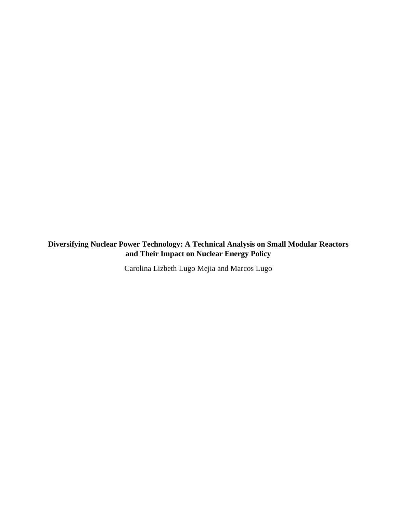**Diversifying Nuclear Power Technology: A Technical Analysis on Small Modular Reactors and Their Impact on Nuclear Energy Policy**

Carolina Lizbeth Lugo Mejia and Marcos Lugo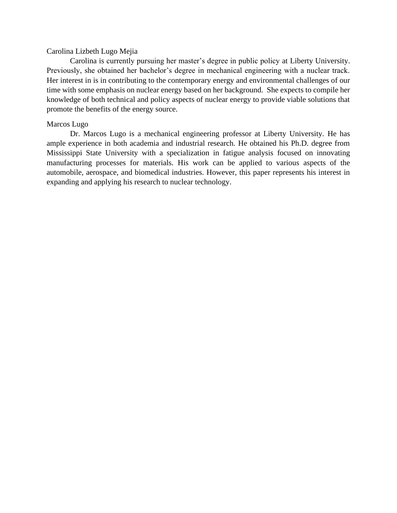# Carolina Lizbeth Lugo Mejia

Carolina is currently pursuing her master's degree in public policy at Liberty University. Previously, she obtained her bachelor's degree in mechanical engineering with a nuclear track. Her interest in is in contributing to the contemporary energy and environmental challenges of our time with some emphasis on nuclear energy based on her background. She expects to compile her knowledge of both technical and policy aspects of nuclear energy to provide viable solutions that promote the benefits of the energy source.

# Marcos Lugo

Dr. Marcos Lugo is a mechanical engineering professor at Liberty University. He has ample experience in both academia and industrial research. He obtained his Ph.D. degree from Mississippi State University with a specialization in fatigue analysis focused on innovating manufacturing processes for materials. His work can be applied to various aspects of the automobile, aerospace, and biomedical industries. However, this paper represents his interest in expanding and applying his research to nuclear technology.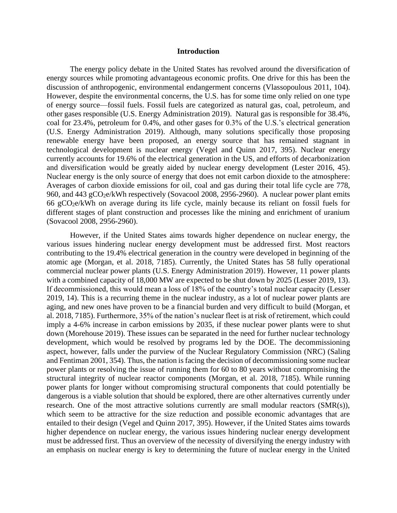### **Introduction**

The energy policy debate in the United States has revolved around the diversification of energy sources while promoting advantageous economic profits. One drive for this has been the discussion of anthropogenic, environmental endangerment concerns (Vlassopoulous 2011, 104). However, despite the environmental concerns, the U.S. has for some time only relied on one type of energy source—fossil fuels. Fossil fuels are categorized as natural gas, coal, petroleum, and other gases responsible (U.S. Energy Administration 2019). Natural gas is responsible for 38.4%, coal for 23.4%, petroleum for 0.4%, and other gases for 0.3% of the U.S.'s electrical generation (U.S. Energy Administration 2019). Although, many solutions specifically those proposing renewable energy have been proposed, an energy source that has remained stagnant in technological development is nuclear energy (Vegel and Quinn 2017, 395). Nuclear energy currently accounts for 19.6% of the electrical generation in the US, and efforts of decarbonization and diversification would be greatly aided by nuclear energy development (Lester 2016, 45). Nuclear energy is the only source of energy that does not emit carbon dioxide to the atmosphere: Averages of carbon dioxide emissions for oil, coal and gas during their total life cycle are 778, 960, and 443 gCO<sub>2</sub>e/kWh respectively (Sovacool 2008, 2956-2960). A nuclear power plant emits 66 gCO2e/kWh on average during its life cycle, mainly because its reliant on fossil fuels for different stages of plant construction and processes like the mining and enrichment of uranium (Sovacool 2008, 2956-2960).

However, if the United States aims towards higher dependence on nuclear energy, the various issues hindering nuclear energy development must be addressed first. Most reactors contributing to the 19.4% electrical generation in the country were developed in beginning of the atomic age (Morgan, et al. 2018, 7185). Currently, the United States has 58 fully operational commercial nuclear power plants (U.S. Energy Administration 2019). However, 11 power plants with a combined capacity of 18,000 MW are expected to be shut down by 2025 (Lesser 2019, 13). If decommissioned, this would mean a loss of 18% of the country's total nuclear capacity (Lesser 2019, 14). This is a recurring theme in the nuclear industry, as a lot of nuclear power plants are aging, and new ones have proven to be a financial burden and very difficult to build (Morgan, et al. 2018, 7185). Furthermore, 35% of the nation's nuclear fleet is at risk of retirement, which could imply a 4-6% increase in carbon emissions by 2035, if these nuclear power plants were to shut down (Morehouse 2019). These issues can be separated in the need for further nuclear technology development, which would be resolved by programs led by the DOE. The decommissioning aspect, however, falls under the purview of the Nuclear Regulatory Commission (NRC) (Saling and Fentiman 2001, 354). Thus, the nation is facing the decision of decommissioning some nuclear power plants or resolving the issue of running them for 60 to 80 years without compromising the structural integrity of nuclear reactor components (Morgan, et al. 2018, 7185). While running power plants for longer without compromising structural components that could potentially be dangerous is a viable solution that should be explored, there are other alternatives currently under research. One of the most attractive solutions currently are small modular reactors (SMR(s)), which seem to be attractive for the size reduction and possible economic advantages that are entailed to their design (Vegel and Quinn 2017, 395). However, if the United States aims towards higher dependence on nuclear energy, the various issues hindering nuclear energy development must be addressed first. Thus an overview of the necessity of diversifying the energy industry with an emphasis on nuclear energy is key to determining the future of nuclear energy in the United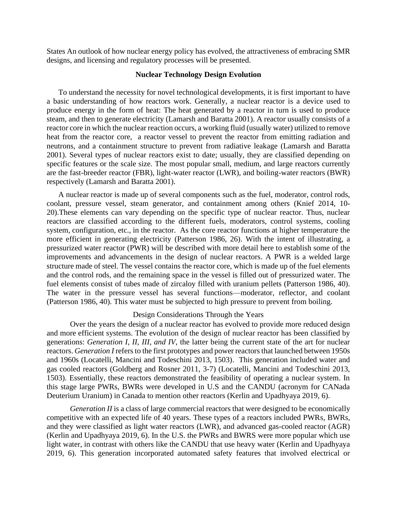States An outlook of how nuclear energy policy has evolved, the attractiveness of embracing SMR designs, and licensing and regulatory processes will be presented.

## **Nuclear Technology Design Evolution**

To understand the necessity for novel technological developments, it is first important to have a basic understanding of how reactors work. Generally, a nuclear reactor is a device used to produce energy in the form of heat: The heat generated by a reactor in turn is used to produce steam, and then to generate electricity (Lamarsh and Baratta 2001). A reactor usually consists of a reactor core in which the nuclear reaction occurs, a working fluid (usually water) utilized to remove heat from the reactor core, a reactor vessel to prevent the reactor from emitting radiation and neutrons, and a containment structure to prevent from radiative leakage (Lamarsh and Baratta 2001). Several types of nuclear reactors exist to date; usually, they are classified depending on specific features or the scale size. The most popular small, medium, and large reactors currently are the fast-breeder reactor (FBR), light-water reactor (LWR), and boiling-water reactors (BWR) respectively (Lamarsh and Baratta 2001).

A nuclear reactor is made up of several components such as the fuel, moderator, control rods, coolant, pressure vessel, steam generator, and containment among others (Knief 2014, 10- 20).These elements can vary depending on the specific type of nuclear reactor. Thus, nuclear reactors are classified according to the different fuels, moderators, control systems, cooling system, configuration, etc., in the reactor. As the core reactor functions at higher temperature the more efficient in generating electricity (Patterson 1986, 26). With the intent of illustrating, a pressurized water reactor (PWR) will be described with more detail here to establish some of the improvements and advancements in the design of nuclear reactors. A PWR is a welded large structure made of steel. The vessel contains the reactor core, which is made up of the fuel elements and the control rods, and the remaining space in the vessel is filled out of pressurized water. The fuel elements consist of tubes made of zircaloy filled with uranium pellets (Patterson 1986, 40). The water in the pressure vessel has several functions—moderator, reflector, and coolant (Patterson 1986, 40). This water must be subjected to high pressure to prevent from boiling.

# Design Considerations Through the Years

Over the years the design of a nuclear reactor has evolved to provide more reduced design and more efficient systems. The evolution of the design of nuclear reactor has been classified by generations: *Generation I*, *II*, *III*, *and IV*, the latter being the current state of the art for nuclear reactors. *Generation I* refers to the first prototypes and power reactors that launched between 1950s and 1960s (Locatelli, Mancini and Todeschini 2013, 1503). This generation included water and gas cooled reactors (Goldberg and Rosner 2011, 3-7) (Locatelli, Mancini and Todeschini 2013, 1503). Essentially, these reactors demonstrated the feasibility of operating a nuclear system. In this stage large PWRs, BWRs were developed in U.S and the CANDU (acronym for CANada Deuterium Uranium) in Canada to mention other reactors (Kerlin and Upadhyaya 2019, 6).

*Generation II* is a class of large commercial reactors that were designed to be economically competitive with an expected life of 40 years. These types of a reactors included PWRs, BWRs, and they were classified as light water reactors (LWR), and advanced gas-cooled reactor (AGR) (Kerlin and Upadhyaya 2019, 6). In the U.S. the PWRs and BWRS were more popular which use light water, in contrast with others like the CANDU that use heavy water (Kerlin and Upadhyaya 2019, 6). This generation incorporated automated safety features that involved electrical or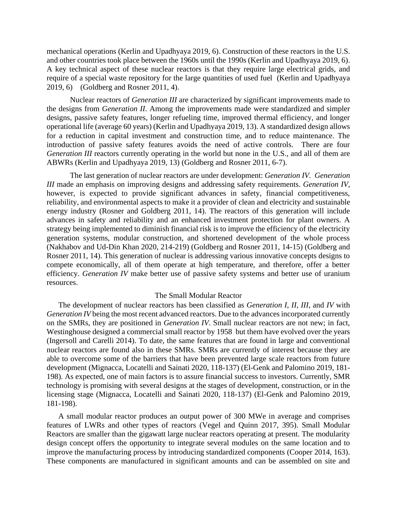mechanical operations (Kerlin and Upadhyaya 2019, 6). Construction of these reactors in the U.S. and other countries took place between the 1960s until the 1990s (Kerlin and Upadhyaya 2019, 6). A key technical aspect of these nuclear reactors is that they require large electrical grids, and require of a special waste repository for the large quantities of used fuel (Kerlin and Upadhyaya 2019, 6) (Goldberg and Rosner 2011, 4).

Nuclear reactors of *Generation III* are characterized by significant improvements made to the designs from *Generation II*. Among the improvements made were standardized and simpler designs, passive safety features, longer refueling time, improved thermal efficiency, and longer operational life (average 60 years) (Kerlin and Upadhyaya 2019, 13). A standardized design allows for a reduction in capital investment and construction time, and to reduce maintenance. The introduction of passive safety features avoids the need of active controls. There are four *Generation III* reactors currently operating in the world but none in the U.S., and all of them are ABWRs (Kerlin and Upadhyaya 2019, 13) (Goldberg and Rosner 2011, 6-7).

The last generation of nuclear reactors are under development: *Generation IV. Generation III* made an emphasis on improving designs and addressing safety requirements. *Generation IV*, however, is expected to provide significant advances in safety, financial competitiveness, reliability, and environmental aspects to make it a provider of clean and electricity and sustainable energy industry (Rosner and Goldberg 2011, 14). The reactors of this generation will include advances in safety and reliability and an enhanced investment protection for plant owners. A strategy being implemented to diminish financial risk is to improve the efficiency of the electricity generation systems, modular construction, and shortened development of the whole process (Nakhabov and Ud-Din Khan 2020, 214-219) (Goldberg and Rosner 2011, 14-15) (Goldberg and Rosner 2011, 14). This generation of nuclear is addressing various innovative concepts designs to compete economically, all of them operate at high temperature, and therefore, offer a better efficiency. *Generation IV* make better use of passive safety systems and better use of uranium resources.

#### The Small Modular Reactor

The development of nuclear reactors has been classified as *Generation I*, *II*, *III*, and *IV* with *Generation IV* being the most recent advanced reactors. Due to the advances incorporated currently on the SMRs, they are positioned in *Generation IV*. Small nuclear reactors are not new; in fact, Westinghouse designed a commercial small reactor by 1958 but them have evolved over the years (Ingersoll and Carelli 2014). To date, the same features that are found in large and conventional nuclear reactors are found also in these SMRs. SMRs are currently of interest because they are able to overcome some of the barriers that have been prevented large scale reactors from future development (Mignacca, Locatelli and Sainati 2020, 118-137) (El-Genk and Palomino 2019, 181- 198). As expected, one of main factors is to assure financial success to investors. Currently, SMR technology is promising with several designs at the stages of development, construction, or in the licensing stage (Mignacca, Locatelli and Sainati 2020, 118-137) (El-Genk and Palomino 2019, 181-198).

A small modular reactor produces an output power of 300 MWe in average and comprises features of LWRs and other types of reactors (Vegel and Quinn 2017, 395). Small Modular Reactors are smaller than the gigawatt large nuclear reactors operating at present. The modularity design concept offers the opportunity to integrate several modules on the same location and to improve the manufacturing process by introducing standardized components (Cooper 2014, 163). These components are manufactured in significant amounts and can be assembled on site and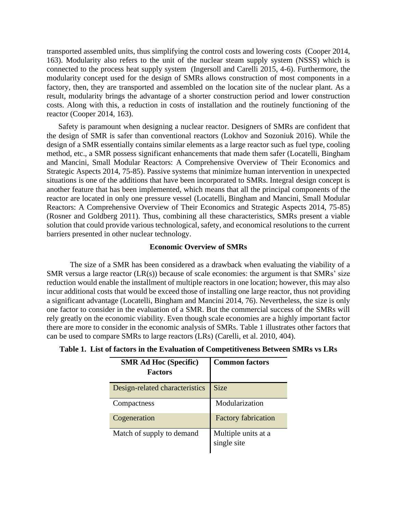transported assembled units, thus simplifying the control costs and lowering costs (Cooper 2014, 163). Modularity also refers to the unit of the nuclear steam supply system (NSSS) which is connected to the process heat supply system (Ingersoll and Carelli 2015, 4-6). Furthermore, the modularity concept used for the design of SMRs allows construction of most components in a factory, then, they are transported and assembled on the location site of the nuclear plant. As a result, modularity brings the advantage of a shorter construction period and lower construction costs. Along with this, a reduction in costs of installation and the routinely functioning of the reactor (Cooper 2014, 163).

Safety is paramount when designing a nuclear reactor. Designers of SMRs are confident that the design of SMR is safer than conventional reactors (Lokhov and Sozoniuk 2016). While the design of a SMR essentially contains similar elements as a large reactor such as fuel type, cooling method, etc., a SMR possess significant enhancements that made them safer (Locatelli, Bingham and Mancini, Small Modular Reactors: A Comprehensive Overview of Their Economics and Strategic Aspects 2014, 75-85). Passive systems that minimize human intervention in unexpected situations is one of the additions that have been incorporated to SMRs. Integral design concept is another feature that has been implemented, which means that all the principal components of the reactor are located in only one pressure vessel (Locatelli, Bingham and Mancini, Small Modular Reactors: A Comprehensive Overview of Their Economics and Strategic Aspects 2014, 75-85) (Rosner and Goldberg 2011). Thus, combining all these characteristics, SMRs present a viable solution that could provide various technological, safety, and economical resolutions to the current barriers presented in other nuclear technology.

## **Economic Overview of SMRs**

The size of a SMR has been considered as a drawback when evaluating the viability of a SMR versus a large reactor  $(LR(s))$  because of scale economies: the argument is that SMRs' size reduction would enable the installment of multiple reactors in one location; however, this may also incur additional costs that would be exceed those of installing one large reactor, thus not providing a significant advantage (Locatelli, Bingham and Mancini 2014, 76). Nevertheless, the size is only one factor to consider in the evaluation of a SMR. But the commercial success of the SMRs will rely greatly on the economic viability. Even though scale economies are a highly important factor there are more to consider in the economic analysis of SMRs. Table 1 illustrates other factors that can be used to compare SMRs to large reactors (LRs) (Carelli, et al. 2010, 404).

| <b>SMR Ad Hoc (Specific)</b><br><b>Factors</b> | <b>Common factors</b>              |
|------------------------------------------------|------------------------------------|
| Design-related characteristics                 | <b>Size</b>                        |
| Compactness                                    | Modularization                     |
| Cogeneration                                   | <b>Factory fabrication</b>         |
| Match of supply to demand                      | Multiple units at a<br>single site |

**Table 1. List of factors in the Evaluation of Competitiveness Between SMRs vs LRs**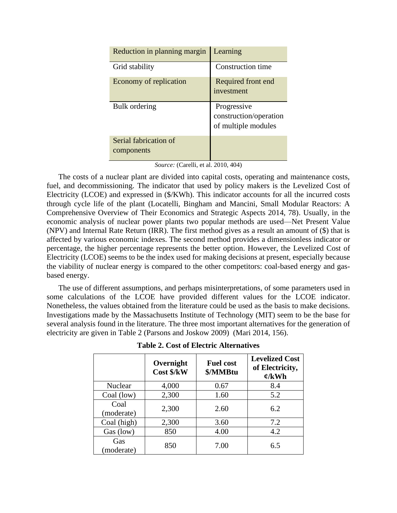| Reduction in planning margin        | Learning                                                     |
|-------------------------------------|--------------------------------------------------------------|
| Grid stability                      | Construction time                                            |
| Economy of replication              | Required front end<br>investment                             |
| Bulk ordering                       | Progressive<br>construction/operation<br>of multiple modules |
| Serial fabrication of<br>components |                                                              |

|  | Source: (Carelli, et al. 2010, 404) |  |  |  |
|--|-------------------------------------|--|--|--|
|--|-------------------------------------|--|--|--|

The costs of a nuclear plant are divided into capital costs, operating and maintenance costs, fuel, and decommissioning. The indicator that used by policy makers is the Levelized Cost of Electricity (LCOE) and expressed in (\$/KWh). This indicator accounts for all the incurred costs through cycle life of the plant (Locatelli, Bingham and Mancini, Small Modular Reactors: A Comprehensive Overview of Their Economics and Strategic Aspects 2014, 78). Usually, in the economic analysis of nuclear power plants two popular methods are used—Net Present Value (NPV) and Internal Rate Return (IRR). The first method gives as a result an amount of (\$) that is affected by various economic indexes. The second method provides a dimensionless indicator or percentage, the higher percentage represents the better option. However, the Levelized Cost of Electricity (LCOE) seems to be the index used for making decisions at present, especially because the viability of nuclear energy is compared to the other competitors: coal-based energy and gasbased energy.

The use of different assumptions, and perhaps misinterpretations, of some parameters used in some calculations of the LCOE have provided different values for the LCOE indicator. Nonetheless, the values obtained from the literature could be used as the basis to make decisions. Investigations made by the Massachusetts Institute of Technology (MIT) seem to be the base for several analysis found in the literature. The three most important alternatives for the generation of electricity are given in Table 2 (Parsons and Joskow 2009) (Mari 2014, 156).

|                    | Overnight<br>Cost \$/kW | <b>Fuel cost</b><br>\$/MMBtu | <b>Levelized Cost</b><br>of Electricity,<br>$\mathfrak{C}/kWh$ |
|--------------------|-------------------------|------------------------------|----------------------------------------------------------------|
| <b>Nuclear</b>     | 4,000                   | 0.67                         | 8.4                                                            |
| Coal (low)         | 2,300                   | 1.60                         | 5.2                                                            |
| Coal<br>(moderate) | 2,300                   | 2.60                         | 6.2                                                            |
| Coal (high)        | 2,300                   | 3.60                         | 7.2                                                            |
| Gas (low)          | 850                     | 4.00                         | 4.2                                                            |
| Gas<br>(moderate)  | 850                     | 7.00                         | 6.5                                                            |

**Table 2. Cost of Electric Alternatives**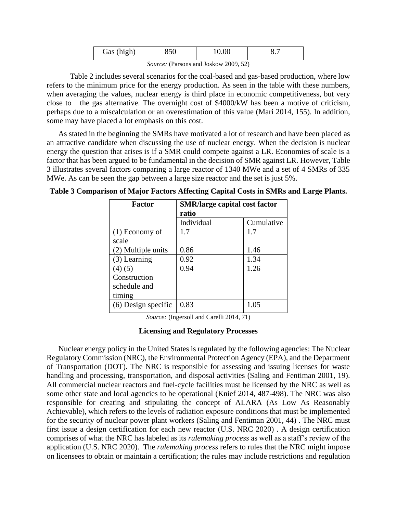| Gas (high) |                                                                                 |  |
|------------|---------------------------------------------------------------------------------|--|
|            | the contract of the contract of the contract of the contract of the contract of |  |

Table 2 includes several scenarios for the coal-based and gas-based production, where low refers to the minimum price for the energy production. As seen in the table with these numbers, when averaging the values, nuclear energy is third place in economic competitiveness, but very close to the gas alternative. The overnight cost of \$4000/kW has been a motive of criticism, perhaps due to a miscalculation or an overestimation of this value (Mari 2014, 155). In addition, some may have placed a lot emphasis on this cost.

As stated in the beginning the SMRs have motivated a lot of research and have been placed as an attractive candidate when discussing the use of nuclear energy. When the decision is nuclear energy the question that arises is if a SMR could compete against a LR. Economies of scale is a factor that has been argued to be fundamental in the decision of SMR against LR. However, Table 3 illustrates several factors comparing a large reactor of 1340 MWe and a set of 4 SMRs of 335 MWe. As can be seen the gap between a large size reactor and the set is just 5%.

| Factor                | <b>SMR/large capital cost factor</b><br>ratio |            |
|-----------------------|-----------------------------------------------|------------|
|                       | Individual                                    | Cumulative |
| $(1)$ Economy of      | 1.7                                           | 1.7        |
| scale                 |                                               |            |
| (2) Multiple units    | 0.86                                          | 1.46       |
| $(3)$ Learning        | 0.92                                          | 1.34       |
| (4)(5)                | 0.94                                          | 1.26       |
| Construction          |                                               |            |
| schedule and          |                                               |            |
| timing                |                                               |            |
| $(6)$ Design specific | 0.83                                          | 1.05       |

**Table 3 Comparison of Major Factors Affecting Capital Costs in SMRs and Large Plants.**

*Source:* (Ingersoll and Carelli 2014, 71)

# **Licensing and Regulatory Processes**

Nuclear energy policy in the United States is regulated by the following agencies: The Nuclear Regulatory Commission (NRC), the Environmental Protection Agency (EPA), and the Department of Transportation (DOT). The NRC is responsible for assessing and issuing licenses for waste handling and processing, transportation, and disposal activities (Saling and Fentiman 2001, 19). All commercial nuclear reactors and fuel-cycle facilities must be licensed by the NRC as well as some other state and local agencies to be operational (Knief 2014, 487-498). The NRC was also responsible for creating and stipulating the concept of ALARA (As Low As Reasonably Achievable), which refers to the levels of radiation exposure conditions that must be implemented for the security of nuclear power plant workers (Saling and Fentiman 2001, 44) . The NRC must first issue a design certification for each new reactor (U.S. NRC 2020) . A design certification comprises of what the NRC has labeled as its *rulemaking process* as well as a staff's review of the application (U.S. NRC 2020). The *rulemaking process* refers to rules that the NRC might impose on licensees to obtain or maintain a certification; the rules may include restrictions and regulation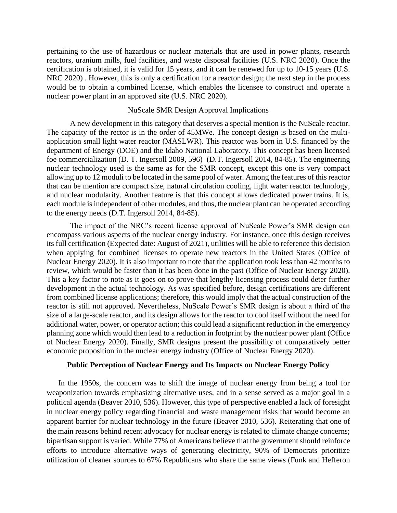pertaining to the use of hazardous or nuclear materials that are used in power plants, research reactors, uranium mills, fuel facilities, and waste disposal facilities (U.S. NRC 2020). Once the certification is obtained, it is valid for 15 years, and it can be renewed for up to 10-15 years (U.S. NRC 2020) . However, this is only a certification for a reactor design; the next step in the process would be to obtain a combined license, which enables the licensee to construct and operate a nuclear power plant in an approved site (U.S. NRC 2020).

## NuScale SMR Design Approval Implications

A new development in this category that deserves a special mention is the NuScale reactor. The capacity of the rector is in the order of 45MWe. The concept design is based on the multiapplication small light water reactor (MASLWR). This reactor was born in U.S. financed by the department of Energy (DOE) and the Idaho National Laboratory. This concept has been licensed foe commercialization (D. T. Ingersoll 2009, 596) (D.T. Ingersoll 2014, 84-85). The engineering nuclear technology used is the same as for the SMR concept, except this one is very compact allowing up to 12 moduli to be located in the same pool of water. Among the features of this reactor that can be mention are compact size, natural circulation cooling, light water reactor technology, and nuclear modularity. Another feature is that this concept allows dedicated power trains. It is, each module is independent of other modules, and thus, the nuclear plant can be operated according to the energy needs (D.T. Ingersoll 2014, 84-85).

The impact of the NRC's recent license approval of NuScale Power's SMR design can encompass various aspects of the nuclear energy industry. For instance, once this design receives its full certification (Expected date: August of 2021), utilities will be able to reference this decision when applying for combined licenses to operate new reactors in the United States (Office of Nuclear Energy 2020). It is also important to note that the application took less than 42 months to review, which would be faster than it has been done in the past (Office of Nuclear Energy 2020). This a key factor to note as it goes on to prove that lengthy licensing process could deter further development in the actual technology. As was specified before, design certifications are different from combined license applications; therefore, this would imply that the actual construction of the reactor is still not approved. Nevertheless, NuScale Power's SMR design is about a third of the size of a large-scale reactor, and its design allows for the reactor to cool itself without the need for additional water, power, or operator action; this could lead a significant reduction in the emergency planning zone which would then lead to a reduction in footprint by the nuclear power plant (Office of Nuclear Energy 2020). Finally, SMR designs present the possibility of comparatively better economic proposition in the nuclear energy industry (Office of Nuclear Energy 2020).

# **Public Perception of Nuclear Energy and Its Impacts on Nuclear Energy Policy**

In the 1950s, the concern was to shift the image of nuclear energy from being a tool for weaponization towards emphasizing alternative uses, and in a sense served as a major goal in a political agenda (Beaver 2010, 536). However, this type of perspective enabled a lack of foresight in nuclear energy policy regarding financial and waste management risks that would become an apparent barrier for nuclear technology in the future (Beaver 2010, 536). Reiterating that one of the main reasons behind recent advocacy for nuclear energy is related to climate change concerns; bipartisan support is varied. While 77% of Americans believe that the government should reinforce efforts to introduce alternative ways of generating electricity, 90% of Democrats prioritize utilization of cleaner sources to 67% Republicans who share the same views (Funk and Hefferon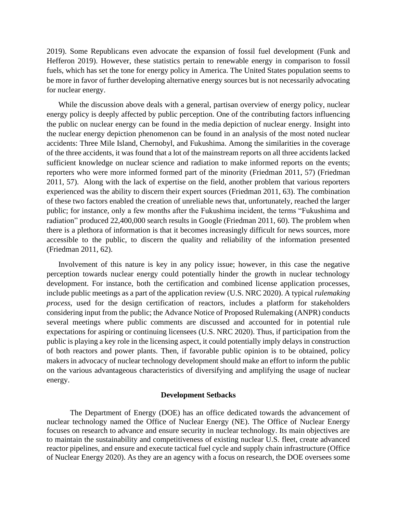2019). Some Republicans even advocate the expansion of fossil fuel development (Funk and Hefferon 2019). However, these statistics pertain to renewable energy in comparison to fossil fuels, which has set the tone for energy policy in America. The United States population seems to be more in favor of further developing alternative energy sources but is not necessarily advocating for nuclear energy.

While the discussion above deals with a general, partisan overview of energy policy, nuclear energy policy is deeply affected by public perception. One of the contributing factors influencing the public on nuclear energy can be found in the media depiction of nuclear energy. Insight into the nuclear energy depiction phenomenon can be found in an analysis of the most noted nuclear accidents: Three Mile Island, Chernobyl, and Fukushima. Among the similarities in the coverage of the three accidents, it was found that a lot of the mainstream reports on all three accidents lacked sufficient knowledge on nuclear science and radiation to make informed reports on the events; reporters who were more informed formed part of the minority (Friedman 2011, 57) (Friedman 2011, 57). Along with the lack of expertise on the field, another problem that various reporters experienced was the ability to discern their expert sources (Friedman 2011, 63). The combination of these two factors enabled the creation of unreliable news that, unfortunately, reached the larger public; for instance, only a few months after the Fukushima incident, the terms "Fukushima and radiation" produced 22,400,000 search results in Google (Friedman 2011, 60). The problem when there is a plethora of information is that it becomes increasingly difficult for news sources, more accessible to the public, to discern the quality and reliability of the information presented (Friedman 2011, 62).

Involvement of this nature is key in any policy issue; however, in this case the negative perception towards nuclear energy could potentially hinder the growth in nuclear technology development. For instance, both the certification and combined license application processes, include public meetings as a part of the application review (U.S. NRC 2020). A typical *rulemaking process*, used for the design certification of reactors, includes a platform for stakeholders considering input from the public; the Advance Notice of Proposed Rulemaking (ANPR) conducts several meetings where public comments are discussed and accounted for in potential rule expectations for aspiring or continuing licensees (U.S. NRC 2020). Thus, if participation from the public is playing a key role in the licensing aspect, it could potentially imply delays in construction of both reactors and power plants. Then, if favorable public opinion is to be obtained, policy makers in advocacy of nuclear technology development should make an effort to inform the public on the various advantageous characteristics of diversifying and amplifying the usage of nuclear energy.

## **Development Setbacks**

The Department of Energy (DOE) has an office dedicated towards the advancement of nuclear technology named the Office of Nuclear Energy (NE). The Office of Nuclear Energy focuses on research to advance and ensure security in nuclear technology. Its main objectives are to maintain the sustainability and competitiveness of existing nuclear U.S. fleet, create advanced reactor pipelines, and ensure and execute tactical fuel cycle and supply chain infrastructure (Office of Nuclear Energy 2020). As they are an agency with a focus on research, the DOE oversees some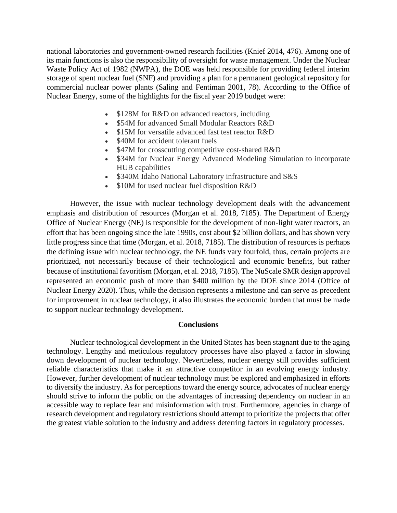national laboratories and government-owned research facilities (Knief 2014, 476). Among one of its main functions is also the responsibility of oversight for waste management. Under the Nuclear Waste Policy Act of 1982 (NWPA), the DOE was held responsible for providing federal interim storage of spent nuclear fuel (SNF) and providing a plan for a permanent geological repository for commercial nuclear power plants (Saling and Fentiman 2001, 78). According to the Office of Nuclear Energy, some of the highlights for the fiscal year 2019 budget were:

- \$128M for R&D on advanced reactors, including
- \$54M for advanced Small Modular Reactors R&D
- \$15M for versatile advanced fast test reactor R&D
- \$40M for accident tolerant fuels
- \$47M for crosscutting competitive cost-shared R&D
- \$34M for Nuclear Energy Advanced Modeling Simulation to incorporate HUB capabilities
- \$340M Idaho National Laboratory infrastructure and S&S
- \$10M for used nuclear fuel disposition R&D

However, the issue with nuclear technology development deals with the advancement emphasis and distribution of resources (Morgan et al. 2018, 7185). The Department of Energy Office of Nuclear Energy (NE) is responsible for the development of non-light water reactors, an effort that has been ongoing since the late 1990s, cost about \$2 billion dollars, and has shown very little progress since that time (Morgan, et al. 2018, 7185). The distribution of resources is perhaps the defining issue with nuclear technology, the NE funds vary fourfold, thus, certain projects are prioritized, not necessarily because of their technological and economic benefits, but rather because of institutional favoritism (Morgan, et al. 2018, 7185). The NuScale SMR design approval represented an economic push of more than \$400 million by the DOE since 2014 (Office of Nuclear Energy 2020). Thus, while the decision represents a milestone and can serve as precedent for improvement in nuclear technology, it also illustrates the economic burden that must be made to support nuclear technology development.

## **Conclusions**

Nuclear technological development in the United States has been stagnant due to the aging technology. Lengthy and meticulous regulatory processes have also played a factor in slowing down development of nuclear technology. Nevertheless, nuclear energy still provides sufficient reliable characteristics that make it an attractive competitor in an evolving energy industry. However, further development of nuclear technology must be explored and emphasized in efforts to diversify the industry. As for perceptions toward the energy source, advocates of nuclear energy should strive to inform the public on the advantages of increasing dependency on nuclear in an accessible way to replace fear and misinformation with trust. Furthermore, agencies in charge of research development and regulatory restrictions should attempt to prioritize the projects that offer the greatest viable solution to the industry and address deterring factors in regulatory processes.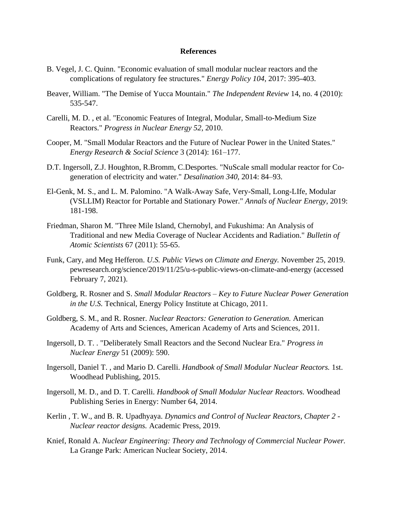## **References**

- B. Vegel, J. C. Quinn. "Economic evaluation of small modular nuclear reactors and the complications of regulatory fee structures." *Energy Policy 104*, 2017: 395-403.
- Beaver, William. "The Demise of Yucca Mountain." *The Independent Review* 14, no. 4 (2010): 535-547.
- Carelli, M. D. , et al. "Economic Features of Integral, Modular, Small-to-Medium Size Reactors." *Progress in Nuclear Energy 52*, 2010.
- Cooper, M. "Small Modular Reactors and the Future of Nuclear Power in the United States." *Energy Research & Social Science* 3 (2014): 161–177.
- D.T. Ingersoll, Z.J. Houghton, R.Bromm, C.Desportes. "NuScale small modular reactor for Cogeneration of electricity and water." *Desalination 340*, 2014: 84–93.
- El-Genk, M. S., and L. M. Palomino. "A Walk-Away Safe, Very-Small, Long-LIfe, Modular (VSLLIM) Reactor for Portable and Stationary Power." *Annals of Nuclear Energy*, 2019: 181-198.
- Friedman, Sharon M. "Three Mile Island, Chernobyl, and Fukushima: An Analysis of Traditional and new Media Coverage of Nuclear Accidents and Radiation." *Bulletin of Atomic Scientists* 67 (2011): 55-65.
- Funk, Cary, and Meg Hefferon. *U.S. Public Views on Climate and Energy.* November 25, 2019. pewresearch.org/science/2019/11/25/u-s-public-views-on-climate-and-energy (accessed February 7, 2021).
- Goldberg, R. Rosner and S. *Small Modular Reactors – Key to Future Nuclear Power Generation in the U.S.* Technical, Energy Policy Institute at Chicago, 2011.
- Goldberg, S. M., and R. Rosner. *Nuclear Reactors: Generation to Generation.* American Academy of Arts and Sciences, American Academy of Arts and Sciences, 2011.
- Ingersoll, D. T. . "Deliberately Small Reactors and the Second Nuclear Era." *Progress in Nuclear Energy* 51 (2009): 590.
- Ingersoll, Daniel T. , and Mario D. Carelli. *Handbook of Small Modular Nuclear Reactors.* 1st. Woodhead Publishing, 2015.
- Ingersoll, M. D., and D. T. Carelli. *Handbook of Small Modular Nuclear Reactors.* Woodhead Publishing Series in Energy: Number 64, 2014.
- Kerlin , T. W., and B. R. Upadhyaya. *Dynamics and Control of Nuclear Reactors, Chapter 2 - Nuclear reactor designs.* Academic Press, 2019.
- Knief, Ronald A. *Nuclear Engineering: Theory and Technology of Commercial Nuclear Power.* La Grange Park: American Nuclear Society, 2014.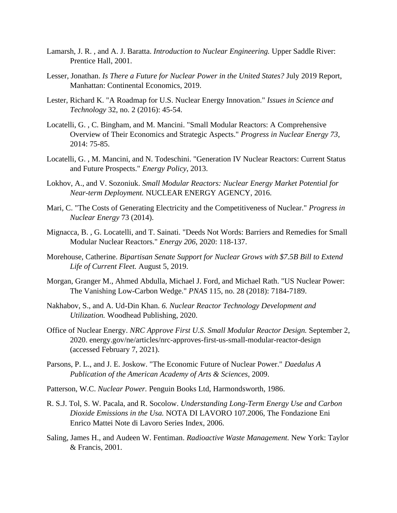- Lamarsh, J. R. , and A. J. Baratta. *Introduction to Nuclear Engineering.* Upper Saddle River: Prentice Hall, 2001.
- Lesser, Jonathan. *Is There a Future for Nuclear Power in the United States?* July 2019 Report, Manhattan: Continental Economics, 2019.
- Lester, Richard K. "A Roadmap for U.S. Nuclear Energy Innovation." *Issues in Science and Technology* 32, no. 2 (2016): 45-54.
- Locatelli, G. , C. Bingham, and M. Mancini. "Small Modular Reactors: A Comprehensive Overview of Their Economics and Strategic Aspects." *Progress in Nuclear Energy 73*, 2014: 75-85.
- Locatelli, G. , M. Mancini, and N. Todeschini. "Generation IV Nuclear Reactors: Current Status and Future Prospects." *Energy Policy*, 2013.
- Lokhov, A., and V. Sozoniuk. *Small Modular Reactors: Nuclear Energy Market Potential for Near-term Deployment.* NUCLEAR ENERGY AGENCY, 2016.
- Mari, C. "The Costs of Generating Electricity and the Competitiveness of Nuclear." *Progress in Nuclear Energy* 73 (2014).
- Mignacca, B. , G. Locatelli, and T. Sainati. "Deeds Not Words: Barriers and Remedies for Small Modular Nuclear Reactors." *Energy 206*, 2020: 118-137.
- Morehouse, Catherine. *Bipartisan Senate Support for Nuclear Grows with \$7.5B Bill to Extend Life of Current Fleet.* August 5, 2019.
- Morgan, Granger M., Ahmed Abdulla, Michael J. Ford, and Michael Rath. "US Nuclear Power: The Vanishing Low-Carbon Wedge." *PNAS* 115, no. 28 (2018): 7184-7189.
- Nakhabov, S., and A. Ud-Din Khan. *6. Nuclear Reactor Technology Development and Utilization.* Woodhead Publishing, 2020.
- Office of Nuclear Energy. *NRC Approve First U.S. Small Modular Reactor Design.* September 2, 2020. energy.gov/ne/articles/nrc-approves-first-us-small-modular-reactor-design (accessed February 7, 2021).
- Parsons, P. L., and J. E. Joskow. "The Economic Future of Nuclear Power." *Daedalus A Publication of the American Academy of Arts & Sciences*, 2009.
- Patterson, W.C. *Nuclear Power.* Penguin Books Ltd, Harmondsworth, 1986.
- R. S.J. Tol, S. W. Pacala, and R. Socolow. *Understanding Long-Term Energy Use and Carbon Dioxide Emissions in the Usa.* NOTA DI LAVORO 107.2006, The Fondazione Eni Enrico Mattei Note di Lavoro Series Index, 2006.
- Saling, James H., and Audeen W. Fentiman. *Radioactive Waste Management.* New York: Taylor & Francis, 2001.